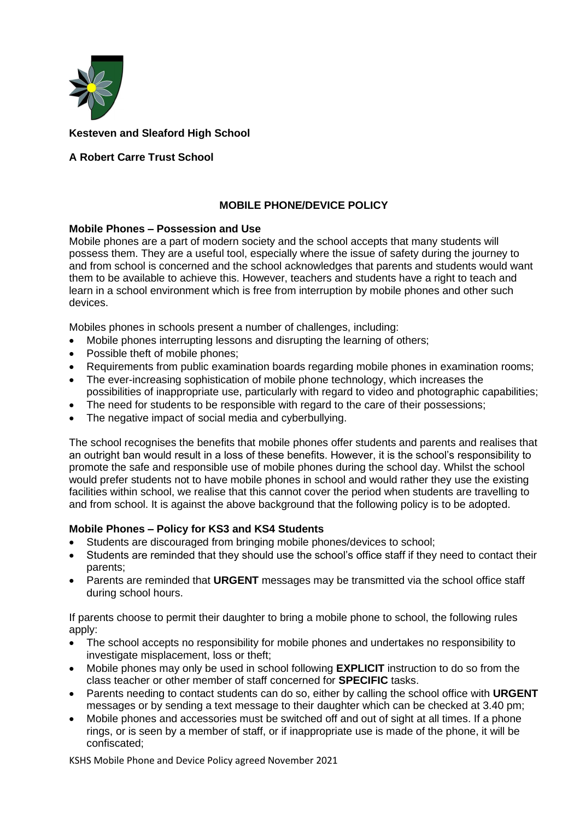

## **Kesteven and Sleaford High School**

# **A Robert Carre Trust School**

## **MOBILE PHONE/DEVICE POLICY**

#### **Mobile Phones – Possession and Use**

Mobile phones are a part of modern society and the school accepts that many students will possess them. They are a useful tool, especially where the issue of safety during the journey to and from school is concerned and the school acknowledges that parents and students would want them to be available to achieve this. However, teachers and students have a right to teach and learn in a school environment which is free from interruption by mobile phones and other such devices.

Mobiles phones in schools present a number of challenges, including:

- Mobile phones interrupting lessons and disrupting the learning of others;
- Possible theft of mobile phones:
- Requirements from public examination boards regarding mobile phones in examination rooms;
- The ever-increasing sophistication of mobile phone technology, which increases the possibilities of inappropriate use, particularly with regard to video and photographic capabilities;
- The need for students to be responsible with regard to the care of their possessions;
- The negative impact of social media and cyberbullying.

The school recognises the benefits that mobile phones offer students and parents and realises that an outright ban would result in a loss of these benefits. However, it is the school's responsibility to promote the safe and responsible use of mobile phones during the school day. Whilst the school would prefer students not to have mobile phones in school and would rather they use the existing facilities within school, we realise that this cannot cover the period when students are travelling to and from school. It is against the above background that the following policy is to be adopted.

### **Mobile Phones – Policy for KS3 and KS4 Students**

- Students are discouraged from bringing mobile phones/devices to school;
- Students are reminded that they should use the school's office staff if they need to contact their parents;
- Parents are reminded that **URGENT** messages may be transmitted via the school office staff during school hours.

If parents choose to permit their daughter to bring a mobile phone to school, the following rules apply:

- The school accepts no responsibility for mobile phones and undertakes no responsibility to investigate misplacement, loss or theft;
- Mobile phones may only be used in school following **EXPLICIT** instruction to do so from the class teacher or other member of staff concerned for **SPECIFIC** tasks.
- Parents needing to contact students can do so, either by calling the school office with **URGENT** messages or by sending a text message to their daughter which can be checked at 3.40 pm;
- Mobile phones and accessories must be switched off and out of sight at all times. If a phone rings, or is seen by a member of staff, or if inappropriate use is made of the phone, it will be confiscated;

KSHS Mobile Phone and Device Policy agreed November 2021